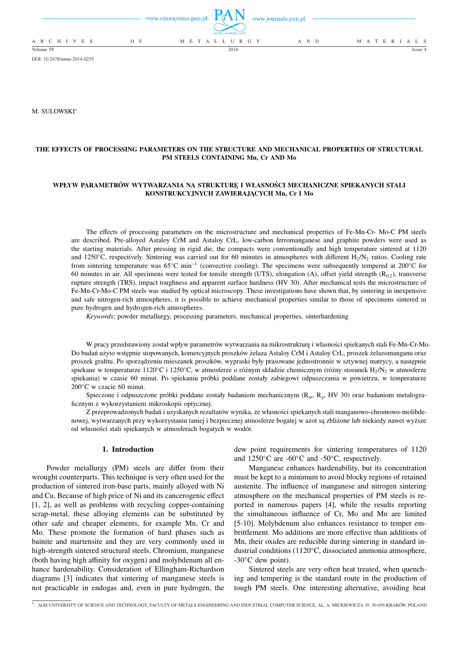|                 |     | www.czasopisma.pan.pl | POLSKA AKADEMIA NAUK | www.journals.pan.pl |                   |  |
|-----------------|-----|-----------------------|----------------------|---------------------|-------------------|--|
| A R C H I V E S | O F |                       | M E T A L L U R G Y  | A N D               | M A T E R I A L S |  |
| Volume 59       |     |                       | 2014                 |                     | Issue 4           |  |

DOI: 10.2478/amm-2014-0255

M. SULOWSKI<sup>∗</sup>

# **THE EFFECTS OF PROCESSING PARAMETERS ON THE STRUCTURE AND MECHANICAL PROPERTIES OF STRUCTURAL PM STEELS CONTAINING Mn, Cr AND Mo**

# **WPŁYW PARAMETRÓW WYTWARZANIA NA STRUKTURĘ I WŁASNOŚCI MECHANICZNE SPIEKANYCH STALI KONSTRUKCYJNYCH ZAWIERAJĄCYCH Mn, Cr I Mo**

The effects of processing parameters on the microstructure and mechanical properties of Fe-Mn-Cr- Mo-C PM steels are described. Pre-alloyed Astaloy CrM and Astaloy CrL, low-carbon ferromanganese and graphite powders were used as the starting materials. After pressing in rigid die, the compacts were conventionally and high temperature sintered at 1120 and 1250°C, respectively. Sintering was carried out for 60 minutes in atmospheres with different  $H_2/N_2$  ratios. Cooling rate from sintering temperature was 65℃ min<sup>-1</sup> (convective cooling). The specimens were subsequently tempered at 200°C for 60 minutes in air. All specimens were tested for tensile strength (UTS), elongation (A), offset yield strength ( $R_{0,2}$ ), transverse rupture strength (TRS), impact toughness and apparent surface hardness (HV 30). After mechanical tests the microstructure of Fe-Mn-Cr-Mo-C PM steels was studied by optical microscopy. These investigations have shown that, by sintering in inexpensive and safe nitrogen-rich atmospheres, it is possible to achieve mechanical properties similar to those of specimens sintered in pure hydrogen and hydrogen-rich atmospheres.

*Keywords*: powder metallurgy, processing parameters, mechanical properties, sinterhardening

W pracy przedstawiony został wpływ parametrów wytwarzania na mikrostrukturę i własności spiekanych stali Fe-Mn-Cr-Mo. Do badań użyto wstępnie stopowanych, komercyjnych proszków żelaza Astaloy CrM i Astaloy CrL, proszek żelazomanganu oraz proszek grafitu. Po sporządzeniu mieszanek proszków, wypraski były prasowane jednostronnie w sztywnej matrycy, a następnie spiekane w temperaturze 1120°C i 1250°C, w atmosferze o różnym składzie chemicznym (różny stosunek H<sub>2</sub>/N<sub>2</sub> w atmosferze spiekania) w czasie 60 minut. Po spiekaniu próbki poddane zostały zabiegowi odpuszczania w powietrzu, w temperaturze 200◦C w czacie 60 minut.

Spieczone i odpuszczone próbki poddane zostały badaniom mechanicznym (R*m*, R*<sup>g</sup>* , HV 30) oraz badaniom metalograficznym z wykorzystaniem mikroskopii optycznej.

Z przeprowadzonych badań i uzyskanych rezultatów wynika, że własności spiekanych stali manganowo-chromowo-molibdenowej, wytwarzanych przy wykorzystaniu taniej i bezpiecznej atmosferze bogatej w azot są zbliżone lub niekiedy nawet wyższe od własności stali spiekanych w atmosferach bogatych w wodór.

# **1. Introduction**

Powder metallurgy (PM) steels are differ from their wrought counterparts. This technique is very often used for the production of sintered iron-base parts, mainly alloyed with Ni and Cu. Because of high price of Ni and its cancerogenic effect [1, 2], as well as problems with recycling copper-containing scrap-metal, these alloying elements can be substituted by other safe and cheaper elements, for example Mn, Cr and Mo. These promote the formation of hard phases such as bainite and martensite and they are very commonly used in high-strength sintered structural steels. Chromium, manganese (both having high affinity for oxygen) and molybdenum all enhance hardenability. Consideration of Ellingham-Richardson diagrams [3] indicates that sintering of manganese steels is not practicable in endogas and, even in pure hydrogen, the

dew point requirements for sintering temperatures of 1120 and 1250◦C are -60◦C and -50◦C, respectively.

Manganese enhances hardenability, but its concentration must be kept to a minimum to avoid blocky regions of retained austenite. The influence of manganese and nitrogen sintering atmosphere on the mechanical properties of PM steels is reported in numerous papers [4], while the results reporting the simultaneous influence of Cr, Mo and Mn are limited [5-10]. Molybdenum also enhances resistance to temper embrittlement. Mo additions are more effective than additions of Mn, their oxides are reducible during sintering in standard industrial conditions (1120◦C, dissociated ammonia atmosphere, -30◦C dew point).

Sintered steels are very often heat treated, when quenching and tempering is the standard route in the production of tough PM steels. One interesting alternative, avoiding heat

<sup>∗</sup> AGH UNIVERSITY OF SCIENCE AND TECHNOLOGY, FACULTY OF METALS ENGINEERING AND INDUSTRIAL COMPUTER SCIENCE, AL. A. MICKIEWICZA 30, 30-059 KRAKÓW, POLAND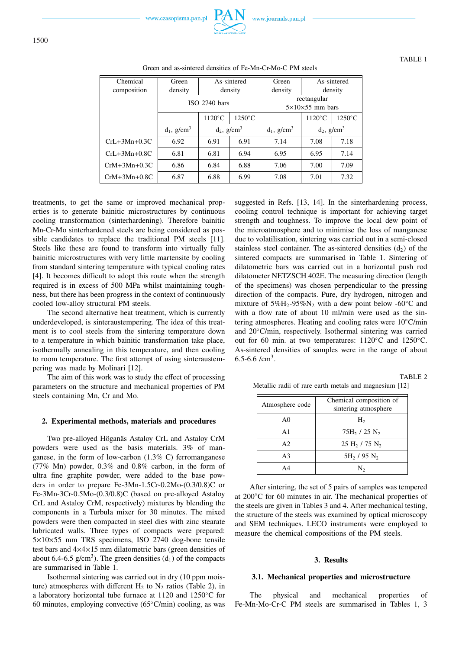| Chemical           | Green                     | As-sintered               |                  | Green                     |                                            | As-sintered      |
|--------------------|---------------------------|---------------------------|------------------|---------------------------|--------------------------------------------|------------------|
| composition        | density                   |                           | density          | density                   |                                            | density          |
|                    |                           | $ISO$ 2740 bars           |                  |                           | rectangular<br>$5\times10\times55$ mm bars |                  |
|                    |                           | $1120^{\circ}$ C          | $1250^{\circ}$ C |                           | $1120^{\circ}$ C                           | $1250^{\circ}$ C |
|                    | $d_1$ , g/cm <sup>3</sup> | $d_2$ , g/cm <sup>3</sup> |                  | $d_1$ , g/cm <sup>3</sup> | $d_2$ , g/cm <sup>3</sup>                  |                  |
| $CrL+3Mn+0.3C$     | 6.92                      | 6.91                      | 6.91             | 7.14                      | 7.08                                       | 7.18             |
| $CrL+3Mn+0.8C$     | 6.81                      | 6.81                      | 6.94             | 6.95                      | 6.95                                       | 7.14             |
| $CrM+3Mn+0.3C$     | 6.86                      | 6.84                      | 6.88             | 7.06                      | 7.00                                       | 7.09             |
| $CrM + 3Mn + 0.8C$ | 6.87                      | 6.88                      | 6.99             | 7.08                      | 7.01                                       | 7.32             |

Green and as-sintered densities of Fe-Mn-Cr-Mo-C PM steels

treatments, to get the same or improved mechanical properties is to generate bainitic microstructures by continuous cooling transformation (sinterhardening). Therefore bainitic Mn-Cr-Mo sinterhardened steels are being considered as possible candidates to replace the traditional PM steels [11]. Steels like these are found to transform into virtually fully bainitic microstructures with very little martensite by cooling from standard sintering temperature with typical cooling rates [4]. It becomes difficult to adopt this route when the strength required is in excess of 500 MPa whilst maintaining toughness, but there has been progress in the context of continuously cooled low-alloy structural PM steels.

The second alternative heat treatment, which is currently underdeveloped, is sinteraustempering. The idea of this treatment is to cool steels from the sintering temperature down to a temperature in which bainitic transformation take place, isothermally annealing in this temperature, and then cooling to room temperature. The first attempt of using sinteraustempering was made by Molinari [12].

The aim of this work was to study the effect of processing parameters on the structure and mechanical properties of PM steels containing Mn, Cr and Mo.

## **2. Experimental methods, materials and procedures**

Two pre-alloyed Höganäs Astaloy CrL and Astaloy CrM powders were used as the basis materials. 3% of manganese, in the form of low-carbon (1.3% C) ferromanganese (77% Mn) powder, 0.3% and 0.8% carbon, in the form of ultra fine graphite powder, were added to the base powders in order to prepare Fe-3Mn-1.5Cr-0.2Mo-(0.3/0.8)C or Fe-3Mn-3Cr-0.5Mo-(0.3/0.8)C (based on pre-alloyed Astaloy CrL and Astaloy CrM, respectively) mixtures by blending the components in a Turbula mixer for 30 minutes. The mixed powders were then compacted in steel dies with zinc stearate lubricated walls. Three types of compacts were prepared: 5×10×55 mm TRS specimens, ISO 2740 dog-bone tensile test bars and 4×4×15 mm dilatometric bars (green densities of about 6.4-6.5 g/cm<sup>3</sup>). The green densities  $(d_1)$  of the compacts are summarised in Table 1.

Isothermal sintering was carried out in dry (10 ppm moisture) atmospheres with different  $H_2$  to  $N_2$  ratios (Table 2), in a laboratory horizontal tube furnace at 1120 and 1250◦C for 60 minutes, employing convective (65◦C/min) cooling, as was

suggested in Refs. [13, 14]. In the sinterhardening process, cooling control technique is important for achieving target strength and toughness. To improve the local dew point of the microatmosphere and to minimise the loss of manganese due to volatilisation, sintering was carried out in a semi-closed stainless steel container. The as-sintered densities  $(d_2)$  of the sintered compacts are summarised in Table 1. Sintering of dilatometric bars was carried out in a horizontal push rod dilatometer NETZSCH 402E. The measuring direction (length of the specimens) was chosen perpendicular to the pressing direction of the compacts. Pure, dry hydrogen, nitrogen and mixture of  $5\%$ H<sub>2</sub>-95%N<sub>2</sub> with a dew point below -60<sup>°</sup>C and with a flow rate of about 10 ml/min were used as the sintering atmospheres. Heating and cooling rates were 10◦C/min and 20◦C/min, respectively. Isothermal sintering was carried out for 60 min. at two temperatures: 1120◦C and 1250◦C. As-sintered densities of samples were in the range of about 6.5-6.6  $/cm<sup>3</sup>$ .

TABLE 2 Metallic radii of rare earth metals and magnesium [12]

| Atmosphere code | Chemical composition of<br>sintering atmosphere |
|-----------------|-------------------------------------------------|
| A <sub>0</sub>  | H <sub>2</sub>                                  |
| $\mathbf{A}1$   | $75H_2/25 N_2$                                  |
| A <sub>2</sub>  | 25 H <sub>2</sub> / 75 N <sub>2</sub>           |
| A <sup>3</sup>  | $5H_2 / 95 N_2$                                 |
|                 | N۰                                              |

After sintering, the set of 5 pairs of samples was tempered at 200◦C for 60 minutes in air. The mechanical properties of the steels are given in Tables 3 and 4. After mechanical testing, the structure of the steels was examined by optical microscopy and SEM techniques. LECO instruments were employed to measure the chemical compositions of the PM steels.

## **3. Results**

# **3.1. Mechanical properties and microstructure**

The physical and mechanical properties of Fe-Mn-Mo-Cr-C PM steels are summarised in Tables 1, 3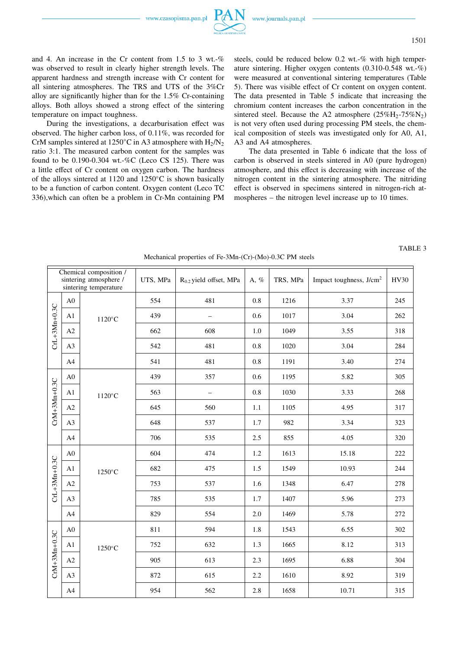

and 4. An increase in the Cr content from 1.5 to 3 wt.-% was observed to result in clearly higher strength levels. The apparent hardness and strength increase with Cr content for all sintering atmospheres. The TRS and UTS of the 3%Cr alloy are significantly higher than for the 1.5% Cr-containing alloys. Both alloys showed a strong effect of the sintering temperature on impact toughness.

During the investigations, a decarburisation effect was observed. The higher carbon loss, of 0.11%, was recorded for CrM samples sintered at 1250 $^{\circ}$ C in A3 atmosphere with H<sub>2</sub>/N<sub>2</sub> ratio 3:1. The measured carbon content for the samples was found to be 0.190-0.304 wt.-%C (Leco CS 125). There was a little effect of Cr content on oxygen carbon. The hardness of the alloys sintered at 1120 and 1250◦C is shown basically to be a function of carbon content. Oxygen content (Leco TC 336),which can often be a problem in Cr-Mn containing PM

steels, could be reduced below 0.2 wt.-% with high temperature sintering. Higher oxygen contents (0.310-0.548 wt.-%) were measured at conventional sintering temperatures (Table 5). There was visible effect of Cr content on oxygen content. The data presented in Table 5 indicate that increasing the chromium content increases the carbon concentration in the sintered steel. Because the A2 atmosphere  $(25\%H_2-75\%N_2)$ is not very often used during processing PM steels, the chemical composition of steels was investigated only for A0, A1, A3 and A4 atmospheres.

The data presented in Table 6 indicate that the loss of carbon is observed in steels sintered in A0 (pure hydrogen) atmosphere, and this effect is decreasing with increase of the nitrogen content in the sintering atmosphere. The nitriding effect is observed in specimens sintered in nitrogen-rich atmospheres – the nitrogen level increase up to 10 times.

|                    |                | Chemical composition /<br>sintering atmosphere /<br>sintering temperature | UTS, MPa | $R_{0.2}$ yield offset, MPa | A, % | TRS, MPa | Impact toughness, J/cm <sup>2</sup> | <b>HV30</b> |
|--------------------|----------------|---------------------------------------------------------------------------|----------|-----------------------------|------|----------|-------------------------------------|-------------|
|                    | A <sub>0</sub> |                                                                           | 554      | 481                         | 0.8  | 1216     | 3.37                                | 245         |
| CrL+3Mn+0.3C       | A1             | $1120^{\circ}$ C                                                          | 439      |                             | 0.6  | 1017     | 3.04                                | 262         |
|                    | A2             |                                                                           | 662      | 608                         | 1.0  | 1049     | 3.55                                | 318         |
|                    | A3             |                                                                           | 542      | 481                         | 0.8  | 1020     | 3.04                                | 284         |
|                    | A4             |                                                                           | 541      | 481                         | 0.8  | 1191     | 3.40                                | 274         |
|                    | A <sub>0</sub> |                                                                           | 439      | 357                         | 0.6  | 1195     | 5.82                                | 305         |
| $CrM + 3Mn + 0.3C$ | A1             | $1120^{\circ}$ C                                                          | 563      | $\overline{\phantom{0}}$    | 0.8  | 1030     | 3.33                                | 268         |
|                    | A2             |                                                                           | 645      | 560                         | 1.1  | 1105     | 4.95                                | 317         |
|                    | A3             |                                                                           | 648      | 537                         | 1.7  | 982      | 3.34                                | 323         |
|                    | A4             |                                                                           | 706      | 535                         | 2.5  | 855      | 4.05                                | 320         |
|                    | A <sub>0</sub> |                                                                           | 604      | 474                         | 1.2  | 1613     | 15.18                               | 222         |
| CrL+3Mn+0.3C       | A1             | 1250°C                                                                    | 682      | 475                         | 1.5  | 1549     | 10.93                               | 244         |
|                    | A2             |                                                                           | 753      | 537                         | 1.6  | 1348     | 6.47                                | 278         |
|                    | A3             |                                                                           | 785      | 535                         | 1.7  | 1407     | 5.96                                | 273         |
|                    | A4             |                                                                           | 829      | 554                         | 2.0  | 1469     | 5.78                                | 272         |
|                    | A <sub>0</sub> |                                                                           | 811      | 594                         | 1.8  | 1543     | 6.55                                | 302         |
|                    | A1             | 1250°C                                                                    | 752      | 632                         | 1.3  | 1665     | 8.12                                | 313         |
| CrM+3Mn+0.3C       | A2             |                                                                           | 905      | 613                         | 2.3  | 1695     | 6.88                                | 304         |
|                    | A3             |                                                                           | 872      | 615                         | 2.2  | 1610     | 8.92                                | 319         |
|                    | A4             |                                                                           | 954      | 562                         | 2.8  | 1658     | 10.71                               | 315         |

Mechanical properties of Fe-3Mn-(Cr)-(Mo)-0.3C PM steels

TABLE 3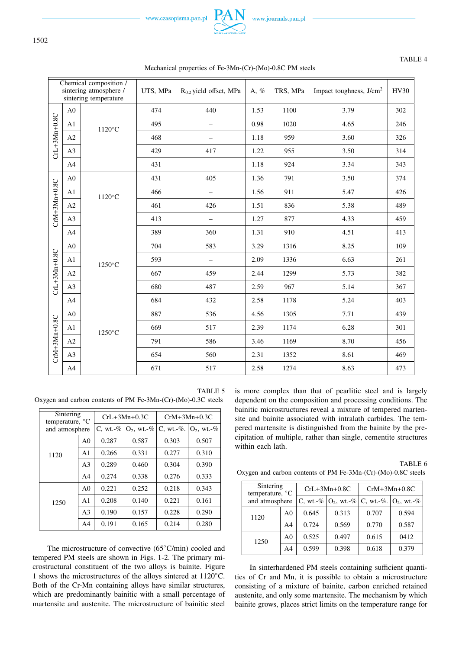

### Chemical composition / sintering atmosphere / sintering temperature UTS, MPa  $\begin{array}{c|c|c|c|c|c} \hline \end{array}$  R<sub>0.2</sub> yield offset, MPa  $\begin{array}{c|c|c|c} \hline \end{array}$  R<sub>0.2</sub>  $\hline \end{array}$  HV30 E<br>C +3Mn +0.8C A0 1120◦C 474 | 440 | 1.53 | 1100 | 3.79 | 302 A1 1020 – 0.98 1020 – 4.65 246 A2 468 – 1.18 959 3.60 326 A3 429 429 417 1.22 955 3.50 314 A4 431 - 1.18 924 3.34 343  $\mathsf{E}\hspace{.5mm}\mid\hspace{.5mm}$  $+3Mn$ +0.8C  ${\rm A0}$ 1120◦C 431 | 405 | 1.36 | 791 | 3.50 | 374 A1 466 – 1.56 911 5.47 426 A2 461 460 426 1.51 836 5.38 489 A3 439 413 - 1.27 877 4.33 459 A4 389 360 1.31 910 4.51 413 E<br>C +3Mn +0.8C A0 1250◦C 704 | 583 | 3.29 | 1316 | 8.25 | 109 A1  $\begin{array}{|c|c|c|c|c|c|c|c|} \hline \end{array}$  593 – 2.09 1336 6.63 1261 A2 667 459 2.44 1299 5.73 382 A3 680 487 2.59 967 5.14 567 A4 684 432 2.58 1178 5.24 403  $\mathsf{E}\hspace{.5mm}\mid\hspace{.5mm}$  $+3Mn$ +0.8C A0 1250◦C 887 | 536 | 4.56 | 1305 | 7.71 | 439 A1  $\begin{array}{|c|c|c|c|c|c|c|c|} \hline \end{array}$  669 517 2.39 1174 6.28 501 A2 791 586 3.46 1169 8.70 456 A3 654 560 2.31 1352 8.61 469 A4 671 517 2.58 1274 8.63 473

# Mechanical properties of Fe-3Mn-(Cr)-(Mo)-0.8C PM steels

TABLE 5 Oxygen and carbon contents of PM Fe-3Mn-(Cr)-(Mo)-0.3C steels

| Sintering<br>temperature, $^{\circ}C$ |                |              | $CrL+3Mn+0.3C$   | $CrM+3Mn+0.3C$    |                  |  |
|---------------------------------------|----------------|--------------|------------------|-------------------|------------------|--|
| and atmosphere                        |                | C, wt. $-$ % | $O_2$ , wt.- $%$ | $C$ , wt.- $\%$ . | $O_2$ , wt.- $%$ |  |
|                                       | A <sub>0</sub> | 0.287        | 0.587            | 0.303             | 0.507            |  |
| 1120                                  | A <sub>1</sub> | 0.266        | 0.331            | 0.277             | 0.310            |  |
|                                       | A <sub>3</sub> | 0.289        | 0.460            | 0.304             | 0.390            |  |
|                                       | A <sub>4</sub> | 0.274        | 0.338            | 0.276             | 0.333            |  |
|                                       | A <sub>0</sub> | 0.221        | 0.252            | 0.218             | 0.343            |  |
| 1250                                  | A <sub>1</sub> | 0.208        | 0.140            | 0.221             | 0.161            |  |
|                                       | A <sub>3</sub> | 0.190        | 0.157            | 0.228             | 0.290            |  |
|                                       | A <sub>4</sub> | 0.191        | 0.165            | 0.214             | 0.280            |  |

The microstructure of convective (65◦C/min) cooled and tempered PM steels are shown in Figs. 1-2. The primary microstructural constituent of the two alloys is bainite. Figure 1 shows the microstructures of the alloys sintered at 1120◦C. Both of the Cr-Mn containing alloys have similar structures, which are predominantly bainitic with a small percentage of martensite and austenite. The microstructure of bainitic steel

is more complex than that of pearlitic steel and is largely dependent on the composition and processing conditions. The bainitic microstructures reveal a mixture of tempered martensite and bainite associated with intralath carbides. The tempered martensite is distinguished from the bainite by the precipitation of multiple, rather than single, cementite structures within each lath.

TABLE 6 Oxygen and carbon contents of PM Fe-3Mn-(Cr)-(Mo)-0.8C steels

| Sintering<br>temperature, $°C$ |                |             | $CrL+3Mn+0.8C$   | $CrM+3Mn+0.8C$ |                               |  |  |
|--------------------------------|----------------|-------------|------------------|----------------|-------------------------------|--|--|
| and atmosphere                 |                | C, wt.- $%$ | $ O_2, wt. -\% $ |                | $ C, wt. -\%   O_2, wt. -\% $ |  |  |
| 1120                           | A <sub>0</sub> | 0.645       | 0.313            | 0.707          | 0.594                         |  |  |
|                                | A4             | 0.724       | 0.569            | 0.770          | 0.587                         |  |  |
| 1250                           | A <sub>0</sub> | 0.525       | 0.497            | 0.615          | 0412                          |  |  |
|                                | A4             | 0.599       | 0.398            | 0.618          | 0.379                         |  |  |

In sinterhardened PM steels containing sufficient quantities of Cr and Mn, it is possible to obtain a microstructure consisting of a mixture of bainite, carbon enriched retained austenite, and only some martensite. The mechanism by which bainite grows, places strict limits on the temperature range for

# TABLE 4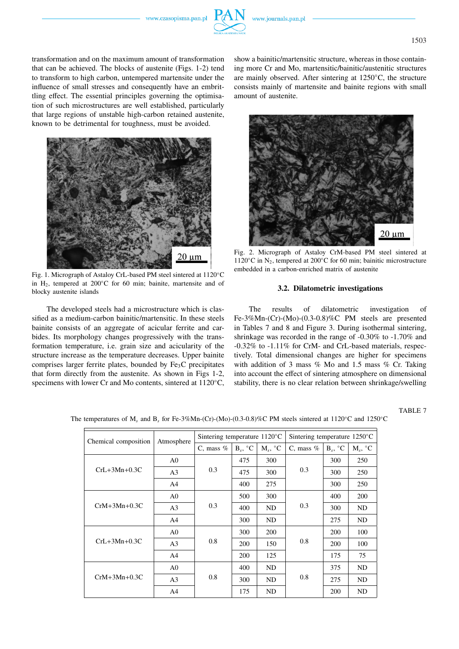

transformation and on the maximum amount of transformation that can be achieved. The blocks of austenite (Figs. 1-2) tend to transform to high carbon, untempered martensite under the influence of small stresses and consequently have an embrittling effect. The essential principles governing the optimisation of such microstructures are well established, particularly that large regions of unstable high-carbon retained austenite, known to be detrimental for toughness, must be avoided.



Fig. 1. Micrograph of Astaloy CrL-based PM steel sintered at 1120◦C in H<sub>2</sub>, tempered at 200 $^{\circ}$ C for 60 min; bainite, martensite and of blocky austenite islands

The developed steels had a microstructure which is classified as a medium-carbon bainitic/martensitic. In these steels bainite consists of an aggregate of acicular ferrite and carbides. Its morphology changes progressively with the transformation temperature, i.e. grain size and acicularity of the structure increase as the temperature decreases. Upper bainite comprises larger ferrite plates, bounded by  $Fe<sub>3</sub>C$  precipitates that form directly from the austenite. As shown in Figs 1-2, specimens with lower Cr and Mo contents, sintered at 1120◦C, show a bainitic/martensitic structure, whereas in those containing more Cr and Mo, martensitic/bainitic/austenitic structures are mainly observed. After sintering at 1250◦C, the structure consists mainly of martensite and bainite regions with small amount of austenite.



Fig. 2. Micrograph of Astaloy CrM-based PM steel sintered at 1120 $°C$  in N<sub>2</sub>, tempered at 200 $°C$  for 60 min; bainitic microstructure embedded in a carbon-enriched matrix of austenite

## **3.2. Dilatometric investigations**

The results of dilatometric investigation of Fe-3%Mn-(Cr)-(Mo)-(0.3-0.8)%C PM steels are presented in Tables 7 and 8 and Figure 3. During isothermal sintering, shrinkage was recorded in the range of -0.30% to -1.70% and -0.32% to -1.11% for CrM- and CrL-based materials, respectively. Total dimensional changes are higher for specimens with addition of 3 mass % Mo and 1.5 mass % Cr. Taking into account the effect of sintering atmosphere on dimensional stability, there is no clear relation between shrinkage/swelling

TABLE 7

| Chemical composition | Atmosphere     | Sintering temperature $1120^{\circ}$ C |            |            | Sintering temperature $1250^{\circ}$ C |                       |            |
|----------------------|----------------|----------------------------------------|------------|------------|----------------------------------------|-----------------------|------------|
|                      |                | C, mass $%$                            | $B_s$ , °C | $M_s$ , °C | C, mass $%$                            | $B_s$ , ${}^{\circ}C$ | $M_s$ , °C |
|                      | A <sub>0</sub> |                                        | 475        | 300        | 0.3                                    | 300                   | 250        |
| $CrL+3Mn+0.3C$       | A <sub>3</sub> | 0.3                                    | 475        | 300        |                                        | 300                   | 250        |
|                      | A <sup>4</sup> |                                        | 400        | 275        |                                        | 300                   | 250        |
| $CrM+3Mn+0.3C$       | A0             | 0.3                                    | 500        | 300        | 0.3                                    | 400                   | 200        |
|                      | A <sub>3</sub> |                                        | 400        | ND         |                                        | 300                   | ND         |
|                      | A4             |                                        | 300        | ND         |                                        | 275                   | ND         |
|                      | A0             | 0.8                                    | 300        | 200        | 0.8                                    | 200                   | 100        |
| $CrL + 3Mn + 0.3C$   | A <sub>3</sub> |                                        | <b>200</b> | 150        |                                        | 200                   | 100        |
|                      | A <sup>4</sup> |                                        | 200        | 125        |                                        | 175                   | 75         |
|                      | A <sub>0</sub> | 0.8                                    | 400        | <b>ND</b>  | 0.8                                    | 375                   | ND         |
| $CrM+3Mn+0.3C$       | A <sub>3</sub> |                                        | 300        | ND         |                                        | 275                   | ND         |
|                      | A <sup>4</sup> |                                        | 175        | ND         |                                        | 200                   | ND         |

The temperatures of M*<sup>s</sup>* and B*<sup>s</sup>* for Fe-3%Mn-(Cr)-(Mo)-(0.3-0.8)%C PM steels sintered at 1120◦C and 1250◦C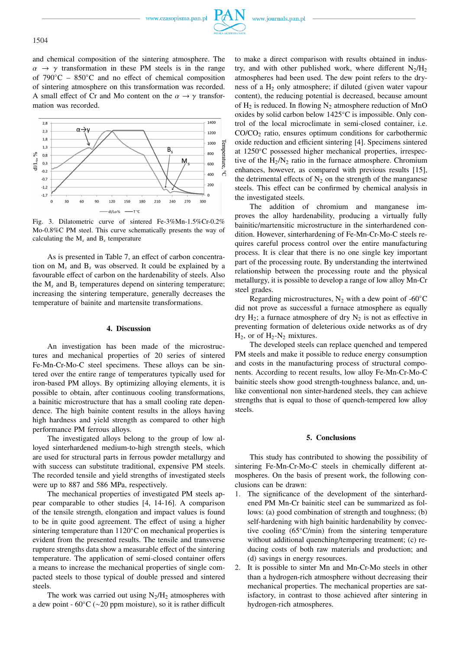and chemical composition of the sintering atmosphere. The  $\alpha \rightarrow \gamma$  transformation in these PM steels is in the range of  $790^{\circ}$ C –  $850^{\circ}$ C and no effect of chemical composition of sintering atmosphere on this transformation was recorded. A small effect of Cr and Mo content on the  $\alpha \rightarrow \gamma$  transformation was recorded.



Fig. 3. Dilatometric curve of sintered Fe-3%Mn-1.5%Cr-0.2% Mo-0.8%C PM steel. This curve schematically presents the way of calculating the M*<sup>s</sup>* and B*<sup>s</sup>* temperature

As is presented in Table 7, an effect of carbon concentration on M*<sup>s</sup>* and B*<sup>s</sup>* was observed. It could be explained by a favourable effect of carbon on the hardenability of steels. Also the  $M_s$  and  $B_s$  temperatures depend on sintering temperature; increasing the sintering temperature, generally decreases the temperature of bainite and martensite transformations.

## **4. Discussion**

An investigation has been made of the microstructures and mechanical properties of 20 series of sintered Fe-Mn-Cr-Mo-C steel specimens. These alloys can be sintered over the entire range of temperatures typically used for iron-based PM alloys. By optimizing alloying elements, it is possible to obtain, after continuous cooling transformations, a bainitic microstructure that has a small cooling rate dependence. The high bainite content results in the alloys having high hardness and yield strength as compared to other high performance PM ferrous alloys.

The investigated alloys belong to the group of low alloyed sinterhardened medium-to-high strength steels, which are used for structural parts in ferrous powder metallurgy and with success can substitute traditional, expensive PM steels. The recorded tensile and yield strengths of investigated steels were up to 887 and 586 MPa, respectively.

The mechanical properties of investigated PM steels appear comparable to other studies [4, 14-16]. A comparison of the tensile strength, elongation and impact values is found to be in quite good agreement. The effect of using a higher sintering temperature than 1120◦C on mechanical properties is evident from the presented results. The tensile and transverse rupture strengths data show a measurable effect of the sintering temperature. The application of semi-closed container offers a means to increase the mechanical properties of single compacted steels to those typical of double pressed and sintered steels.

The work was carried out using  $N_2/H_2$  atmospheres with a dew point - 60◦C (∼20 ppm moisture), so it is rather difficult

to make a direct comparison with results obtained in industry, and with other published work, where different  $N_2/H_2$ atmospheres had been used. The dew point refers to the dryness of a H<sup>2</sup> only atmosphere; if diluted (given water vapour content), the reducing potential is decreased, because amount of  $H_2$  is reduced. In flowing  $N_2$  atmosphere reduction of MnO oxides by solid carbon below 1425◦C is impossible. Only control of the local microclimate in semi-closed container, i.e.  $CO/CO<sub>2</sub>$  ratio, ensures optimum conditions for carbothermic oxide reduction and efficient sintering [4]. Specimens sintered at 1250◦C possessed higher mechanical properties, irrespective of the  $H_2/N_2$  ratio in the furnace atmosphere. Chromium enhances, however, as compared with previous results [15], the detrimental effects of  $N_2$  on the strength of the manganese steels. This effect can be confirmed by chemical analysis in the investigated steels.

The addition of chromium and manganese improves the alloy hardenability, producing a virtually fully bainitic/martensitic microstructure in the sinterhardened condition. However, sinterhardening of Fe-Mn-Cr-Mo-C steels requires careful process control over the entire manufacturing process. It is clear that there is no one single key important part of the processing route. By understanding the intertwined relationship between the processing route and the physical metallurgy, it is possible to develop a range of low alloy Mn-Cr steel grades.

Regarding microstructures,  $N_2$  with a dew point of -60 $°C$ did not prove as successful a furnace atmosphere as equally dry  $H_2$ ; a furnace atmosphere of dry  $N_2$  is not as effective in preventing formation of deleterious oxide networks as of dry  $H_2$ , or of  $H_2$ -N<sub>2</sub> mixtures.

The developed steels can replace quenched and tempered PM steels and make it possible to reduce energy consumption and costs in the manufacturing process of structural components. According to recent results, low alloy Fe-Mn-Cr-Mo-C bainitic steels show good strength-toughness balance, and, unlike conventional non sinter-hardened steels, they can achieve strengths that is equal to those of quench-tempered low alloy steels.

## **5. Conclusions**

This study has contributed to showing the possibility of sintering Fe-Mn-Cr-Mo-C steels in chemically different atmospheres. On the basis of present work, the following conclusions can be drawn:

- 1. The significance of the development of the sinterhardened PM Mn-Cr bainitic steel can be summarized as follows: (a) good combination of strength and toughness; (b) self-hardening with high bainitic hardenability by convective cooling (65◦C/min) from the sintering temperature without additional quenching/tempering treatment; (c) reducing costs of both raw materials and production; and (d) savings in energy resources.
- 2. It is possible to sinter Mn and Mn-Cr-Mo steels in other than a hydrogen-rich atmosphere without decreasing their mechanical properties. The mechanical properties are satisfactory, in contrast to those achieved after sintering in hydrogen-rich atmospheres.